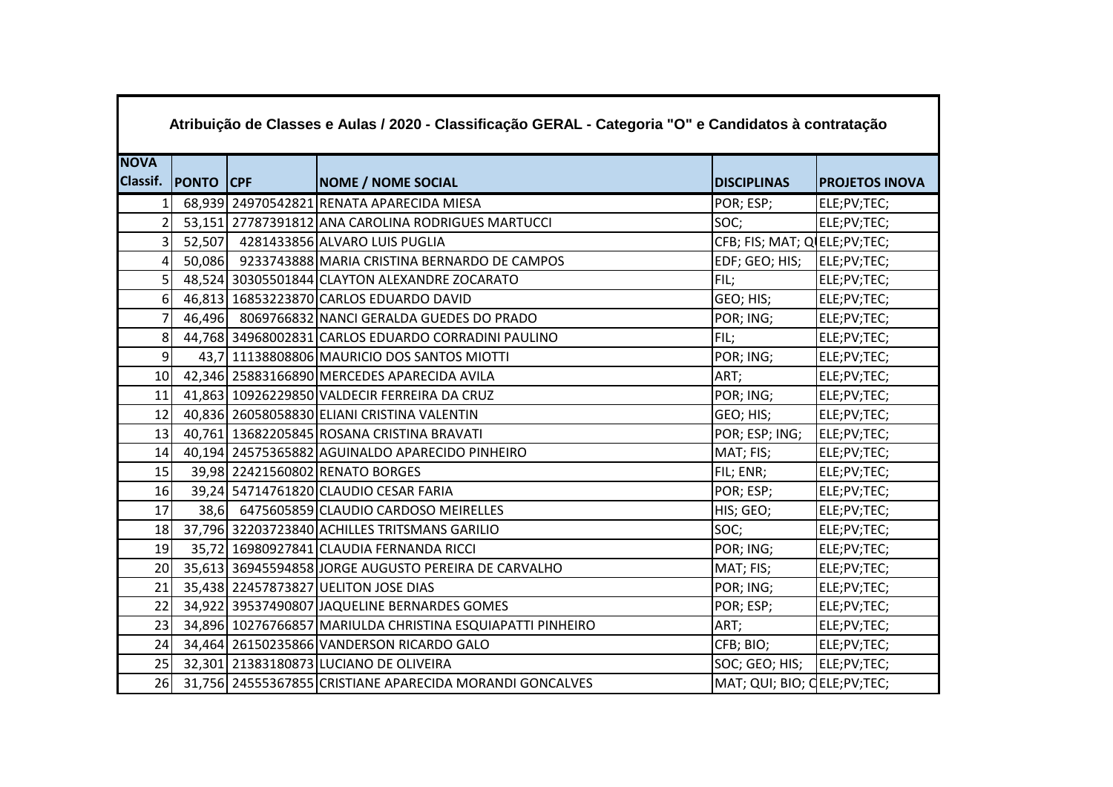|                 | Atribuição de Classes e Aulas / 2020 - Classificação GERAL - Categoria "O" e Candidatos à contratação |  |                                                             |                                |                       |  |  |  |  |
|-----------------|-------------------------------------------------------------------------------------------------------|--|-------------------------------------------------------------|--------------------------------|-----------------------|--|--|--|--|
| <b>NOVA</b>     |                                                                                                       |  |                                                             |                                |                       |  |  |  |  |
|                 | Classif. PONTO CPF                                                                                    |  | <b>NOME / NOME SOCIAL</b>                                   | <b>DISCIPLINAS</b>             | <b>PROJETOS INOVA</b> |  |  |  |  |
| 1 <sup>1</sup>  |                                                                                                       |  | 68,939 24970542821 RENATA APARECIDA MIESA                   | POR; ESP;                      | ELE;PV;TEC;           |  |  |  |  |
| $\overline{2}$  |                                                                                                       |  | 53,151 27787391812 ANA CAROLINA RODRIGUES MARTUCCI          | SOC;                           | ELE;PV;TEC;           |  |  |  |  |
| 3               |                                                                                                       |  | 52,507 4281433856 ALVARO LUIS PUGLIA                        | CFB; FIS; MAT; Q ELE; PV; TEC; |                       |  |  |  |  |
| 4 <sup>1</sup>  |                                                                                                       |  | 50,086 9233743888 MARIA CRISTINA BERNARDO DE CAMPOS         | EDF; GEO; HIS;  ELE;PV;TEC;    |                       |  |  |  |  |
| 5 <sup>1</sup>  |                                                                                                       |  | 48,524 30305501844 CLAYTON ALEXANDRE ZOCARATO               | FIL;                           | ELE;PV;TEC;           |  |  |  |  |
| 6 <sup>1</sup>  |                                                                                                       |  | 46,813 16853223870 CARLOS EDUARDO DAVID                     | GEO; HIS;                      | ELE;PV;TEC;           |  |  |  |  |
| $\overline{7}$  |                                                                                                       |  | 46,496 8069766832 NANCI GERALDA GUEDES DO PRADO             | POR; ING;                      | ELE;PV;TEC;           |  |  |  |  |
|                 |                                                                                                       |  | 8 44,768 34968002831 CARLOS EDUARDO CORRADINI PAULINO       | FIL;                           | ELE;PV;TEC;           |  |  |  |  |
| $\overline{9}$  |                                                                                                       |  | 43,7 11138808806 MAURICIO DOS SANTOS MIOTTI                 | POR; ING;                      | ELE;PV;TEC;           |  |  |  |  |
| 10 <sup>1</sup> |                                                                                                       |  | 42,346 25883166890 MERCEDES APARECIDA AVILA                 | ART;                           | ELE;PV;TEC;           |  |  |  |  |
| 11              |                                                                                                       |  | 41,863 10926229850 VALDECIR FERREIRA DA CRUZ                | POR; ING;                      | ELE;PV;TEC;           |  |  |  |  |
| 12              |                                                                                                       |  | 40,836 26058058830 ELIANI CRISTINA VALENTIN                 | GEO; HIS;                      | ELE;PV;TEC;           |  |  |  |  |
| 13              |                                                                                                       |  | 40,761 13682205845 ROSANA CRISTINA BRAVATI                  | POR; ESP; ING;                 | ELE;PV;TEC;           |  |  |  |  |
| 14              |                                                                                                       |  | 40,194 24575365882 AGUINALDO APARECIDO PINHEIRO             | MAT; FIS;                      | ELE;PV;TEC;           |  |  |  |  |
| 15              |                                                                                                       |  | 39,98 22421560802 RENATO BORGES                             | FIL; ENR;                      | ELE;PV;TEC;           |  |  |  |  |
| 16              |                                                                                                       |  | 39,24 54714761820 CLAUDIO CESAR FARIA                       | POR; ESP;                      | ELE;PV;TEC;           |  |  |  |  |
| 17              |                                                                                                       |  | 38,6 6475605859 CLAUDIO CARDOSO MEIRELLES                   | HIS; GEO;                      | ELE;PV;TEC;           |  |  |  |  |
| 18              |                                                                                                       |  | 37,796 32203723840 ACHILLES TRITSMANS GARILIO               | SOC;                           | ELE;PV;TEC;           |  |  |  |  |
| 19              |                                                                                                       |  | 35,72 16980927841 CLAUDIA FERNANDA RICCI                    | POR; ING;                      | ELE;PV;TEC;           |  |  |  |  |
| 20 <sup>1</sup> |                                                                                                       |  | 35,613 36945594858 JORGE AUGUSTO PEREIRA DE CARVALHO        | MAT; FIS;                      | ELE;PV;TEC;           |  |  |  |  |
| 21              |                                                                                                       |  | 35,438 22457873827 UELITON JOSE DIAS                        | POR; ING;                      | ELE;PV;TEC;           |  |  |  |  |
| 22              |                                                                                                       |  | 34,922 39537490807 JAQUELINE BERNARDES GOMES                | POR; ESP;                      | ELE;PV;TEC;           |  |  |  |  |
| 23              |                                                                                                       |  | 34,896 10276766857 MARIULDA CHRISTINA ESQUIAPATTI PINHEIRO  | ART;                           | ELE;PV;TEC;           |  |  |  |  |
| 24              |                                                                                                       |  | 34,464 26150235866 VANDERSON RICARDO GALO                   | CFB; BIO;                      | ELE;PV;TEC;           |  |  |  |  |
| 25              |                                                                                                       |  | 32,301 21383180873 LUCIANO DE OLIVEIRA                      | SOC; GEO; HIS;                 | ELE;PV;TEC;           |  |  |  |  |
|                 |                                                                                                       |  | 26 31,756 24555367855 CRISTIANE APARECIDA MORANDI GONCALVES | MAT; QUI; BIO; QELE; PV; TEC;  |                       |  |  |  |  |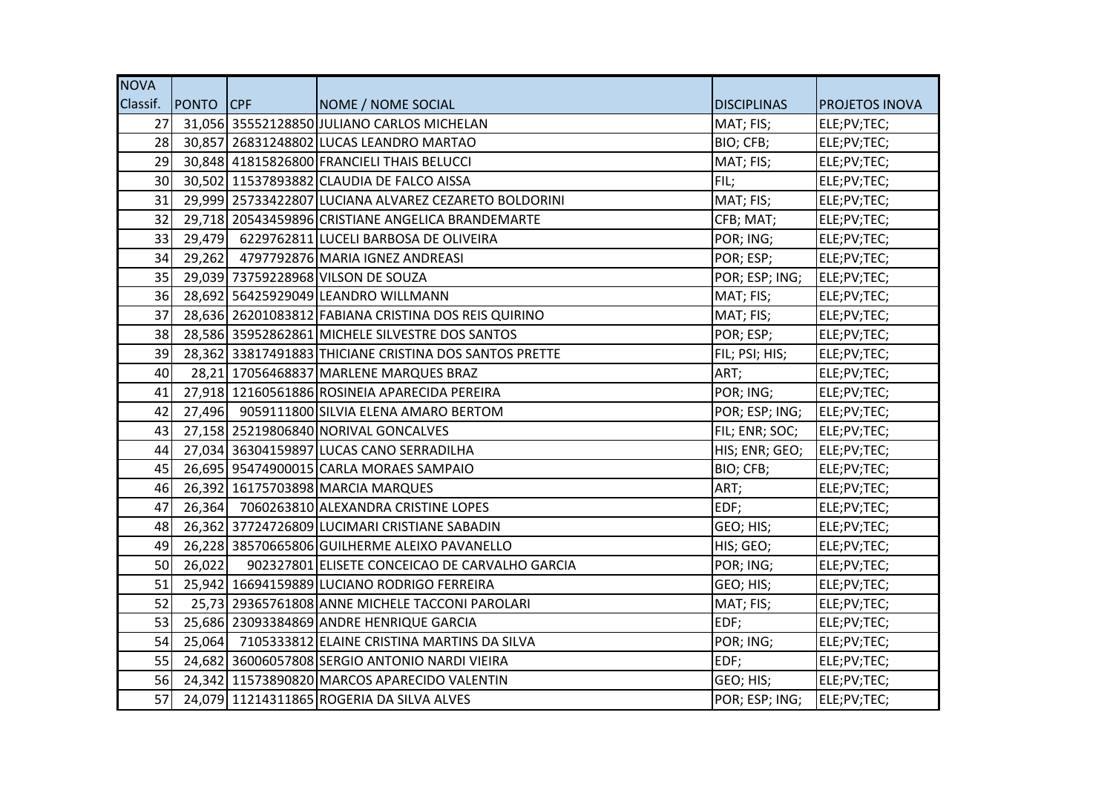| <b>NOVA</b>     |                    |                                                        |                    |                       |
|-----------------|--------------------|--------------------------------------------------------|--------------------|-----------------------|
|                 | Classif. PONTO CPF | NOME / NOME SOCIAL                                     | <b>DISCIPLINAS</b> | <b>PROJETOS INOVA</b> |
|                 |                    | 27 31,056 35552128850 JULIANO CARLOS MICHELAN          | MAT; FIS;          | ELE;PV;TEC;           |
|                 |                    | 28 30,857 26831248802 LUCAS LEANDRO MARTAO             | BIO; CFB;          | ELE;PV;TEC;           |
|                 |                    | 29 30,848 41815826800 FRANCIELI THAIS BELUCCI          | MAT; FIS;          | ELE;PV;TEC;           |
| 30 <sup>1</sup> |                    | 30,502 11537893882 CLAUDIA DE FALCO AISSA              | FIL;               | ELE;PV;TEC;           |
| 31              |                    | 29,999 25733422807 LUCIANA ALVAREZ CEZARETO BOLDORINI  | MAT; FIS;          | ELE;PV;TEC;           |
| 32              |                    | 29,718 20543459896 CRISTIANE ANGELICA BRANDEMARTE      | CFB; MAT;          | ELE;PV;TEC;           |
| 33              |                    | 29,479 6229762811 LUCELI BARBOSA DE OLIVEIRA           | POR; ING;          | ELE;PV;TEC;           |
|                 |                    | 34 29,262 4797792876 MARIA IGNEZ ANDREASI              | POR; ESP;          | ELE;PV;TEC;           |
|                 |                    | 35 29,039 73759228968 VILSON DE SOUZA                  | POR; ESP; ING;     | ELE;PV;TEC;           |
|                 |                    | 36 28,692 56425929049 LEANDRO WILLMANN                 | MAT; FIS;          | ELE;PV;TEC;           |
| 37              |                    | 28,636 26201083812 FABIANA CRISTINA DOS REIS QUIRINO   | MAT; FIS;          | ELE;PV;TEC;           |
| 38              |                    | 28,586 35952862861 MICHELE SILVESTRE DOS SANTOS        | POR; ESP;          | ELE;PV;TEC;           |
| 39              |                    | 28,362 33817491883 THICIANE CRISTINA DOS SANTOS PRETTE | FIL; PSI; HIS;     | ELE;PV;TEC;           |
| 40              |                    | 28,21 17056468837 MARLENE MARQUES BRAZ                 | ART;               | ELE;PV;TEC;           |
| 41              |                    | 27,918 12160561886 ROSINEIA APARECIDA PEREIRA          | POR; ING;          | ELE;PV;TEC;           |
| 42              |                    | 27,496 9059111800 SILVIA ELENA AMARO BERTOM            | POR; ESP; ING;     | ELE;PV;TEC;           |
| 43 L            |                    | 27,158 25219806840 NORIVAL GONCALVES                   | FIL; ENR; SOC;     | ELE;PV;TEC;           |
|                 |                    | 44 27,034 36304159897 LUCAS CANO SERRADILHA            | HIS; ENR; GEO;     | ELE;PV;TEC;           |
| 45              |                    | 26,695 95474900015 CARLA MORAES SAMPAIO                | BIO; CFB;          | ELE;PV;TEC;           |
| 46              |                    | 26,392 16175703898 MARCIA MARQUES                      | ART;               | ELE;PV;TEC;           |
| 47              |                    | 26,364 7060263810 ALEXANDRA CRISTINE LOPES             | EDF;               | ELE;PV;TEC;           |
|                 |                    | 48 26,362 37724726809 LUCIMARI CRISTIANE SABADIN       | GEO; HIS;          | ELE;PV;TEC;           |
| 49              |                    | 26,228 38570665806 GUILHERME ALEIXO PAVANELLO          | HIS; GEO;          | ELE;PV;TEC;           |
| 50              | 26,022             | 902327801 ELISETE CONCEICAO DE CARVALHO GARCIA         | POR; ING;          | ELE;PV;TEC;           |
| 51              |                    | 25,942 16694159889 LUCIANO RODRIGO FERREIRA            | GEO; HIS;          | ELE;PV;TEC;           |
| 52              |                    | 25,73 29365761808 ANNE MICHELE TACCONI PAROLARI        | MAT; FIS;          | ELE;PV;TEC;           |
| 53              |                    | 25,686 23093384869 ANDRE HENRIQUE GARCIA               | EDF;               | ELE;PV;TEC;           |
| 54              |                    | 25,064 7105333812 ELAINE CRISTINA MARTINS DA SILVA     | POR; ING;          | ELE;PV;TEC;           |
|                 |                    | 55 24,682 36006057808 SERGIO ANTONIO NARDI VIEIRA      | EDF;               | ELE;PV;TEC;           |
|                 |                    | 56 24,342 11573890820 MARCOS APARECIDO VALENTIN        | GEO; HIS;          | ELE;PV;TEC;           |
| 57              |                    | 24,079 11214311865 ROGERIA DA SILVA ALVES              | POR; ESP; ING;     | ELE;PV;TEC;           |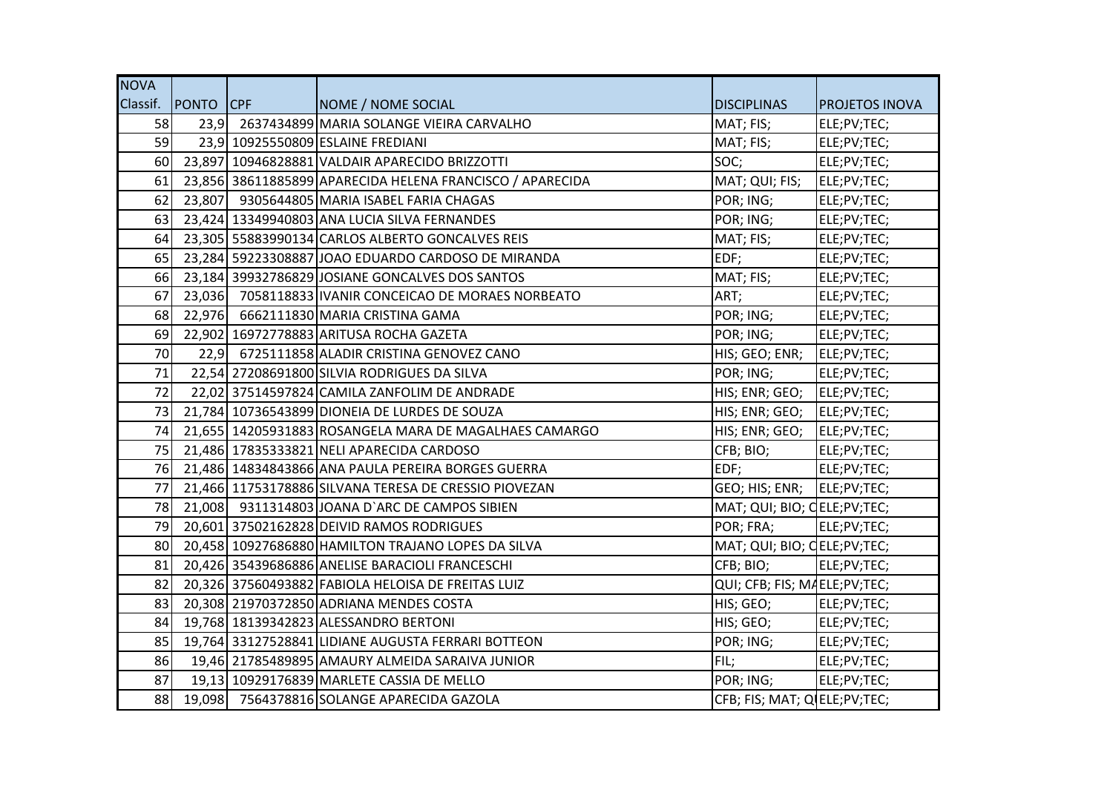| <b>NOVA</b> |                    |                                                           |                                |                       |
|-------------|--------------------|-----------------------------------------------------------|--------------------------------|-----------------------|
|             | Classif. PONTO CPF | NOME / NOME SOCIAL                                        | <b>DISCIPLINAS</b>             | <b>PROJETOS INOVA</b> |
| 58          |                    | 23,9 2637434899 MARIA SOLANGE VIEIRA CARVALHO             | MAT; FIS;                      | ELE;PV;TEC;           |
| 59          |                    | 23,9 10925550809 ESLAINE FREDIANI                         | MAT; FIS;                      | ELE;PV;TEC;           |
| 60          |                    | 23,897 10946828881 VALDAIR APARECIDO BRIZZOTTI            | SOC;                           | ELE;PV;TEC;           |
| 61          |                    | 23,856 38611885899 APARECIDA HELENA FRANCISCO / APARECIDA | MAT; QUI; FIS;                 | ELE;PV;TEC;           |
| 62          |                    | 23,807 9305644805 MARIA ISABEL FARIA CHAGAS               | POR; ING;                      | ELE;PV;TEC;           |
| 63          |                    | 23,424 13349940803 ANA LUCIA SILVA FERNANDES              | POR; ING;                      | ELE;PV;TEC;           |
| 64          |                    | 23,305 55883990134 CARLOS ALBERTO GONCALVES REIS          | MAT; FIS;                      | ELE;PV;TEC;           |
| 65          |                    | 23,284 59223308887 JOAO EDUARDO CARDOSO DE MIRANDA        | EDF;                           | ELE;PV;TEC;           |
| 66          |                    | 23,184 39932786829 JOSIANE GONCALVES DOS SANTOS           | MAT; FIS;                      | ELE;PV;TEC;           |
| 67          |                    | 23,036 7058118833 IVANIR CONCEICAO DE MORAES NORBEATO     | ART;                           | ELE;PV;TEC;           |
| 68          |                    | 22,976 6662111830 MARIA CRISTINA GAMA                     | POR; ING;                      | ELE;PV;TEC;           |
| 69          |                    | 22,902 16972778883 ARITUSA ROCHA GAZETA                   | POR; ING;                      | ELE;PV;TEC;           |
| 70          |                    | 22,9 6725111858 ALADIR CRISTINA GENOVEZ CANO              | HIS; GEO; ENR; ELE; PV; TEC;   |                       |
| 71          |                    | 22,54 27208691800 SILVIA RODRIGUES DA SILVA               | POR; ING;                      | ELE;PV;TEC;           |
| 72          |                    | 22,02 37514597824 CAMILA ZANFOLIM DE ANDRADE              | HIS; ENR; GEO; ELE; PV; TEC;   |                       |
| 73          |                    | 21,784 10736543899 DIONEIA DE LURDES DE SOUZA             | HIS; ENR; GEO; ELE; PV; TEC;   |                       |
| 74          |                    | 21,655 14205931883 ROSANGELA MARA DE MAGALHAES CAMARGO    | HIS; ENR; GEO; ELE;PV;TEC;     |                       |
| 75          |                    | 21,486 17835333821 NELI APARECIDA CARDOSO                 | CFB; BIO;                      | ELE;PV;TEC;           |
| 76          |                    | 21,486 14834843866 ANA PAULA PEREIRA BORGES GUERRA        | EDF;                           | ELE;PV;TEC;           |
| 77          |                    | 21,466 11753178886 SILVANA TERESA DE CRESSIO PIOVEZAN     | GEO; HIS; ENR; ELE; PV; TEC;   |                       |
| 78          |                    | 21,008 9311314803 JOANA D'ARC DE CAMPOS SIBIEN            | MAT; QUI; BIO; CELE; PV; TEC;  |                       |
| 79          |                    | 20,601 37502162828 DEIVID RAMOS RODRIGUES                 | POR; FRA;                      | ELE;PV;TEC;           |
| 80          |                    | 20,458 10927686880 HAMILTON TRAJANO LOPES DA SILVA        | MAT; QUI; BIO; CELE; PV; TEC;  |                       |
| 81          |                    | 20,426 35439686886 ANELISE BARACIOLI FRANCESCHI           | CFB; BIO;                      | ELE;PV;TEC;           |
| 82          |                    | 20,326 37560493882 FABIOLA HELOISA DE FREITAS LUIZ        | QUI; CFB; FIS; MAELE; PV; TEC; |                       |
| 83          |                    | 20,308 21970372850 ADRIANA MENDES COSTA                   | HIS; GEO;                      | ELE;PV;TEC;           |
| 84          |                    | 19,768 18139342823 ALESSANDRO BERTONI                     | HIS; GEO;                      | ELE;PV;TEC;           |
| 85          |                    | 19,764 33127528841 LIDIANE AUGUSTA FERRARI BOTTEON        | POR; ING;                      | ELE;PV;TEC;           |
| 86          |                    | 19,46 21785489895 AMAURY ALMEIDA SARAIVA JUNIOR           | FIL;                           | ELE;PV;TEC;           |
| 87          |                    | 19,13 10929176839 MARLETE CASSIA DE MELLO                 | POR; ING;                      | ELE;PV;TEC;           |
| 88          |                    | 19,098 7564378816 SOLANGE APARECIDA GAZOLA                | CFB; FIS; MAT; Q ELE; PV; TEC; |                       |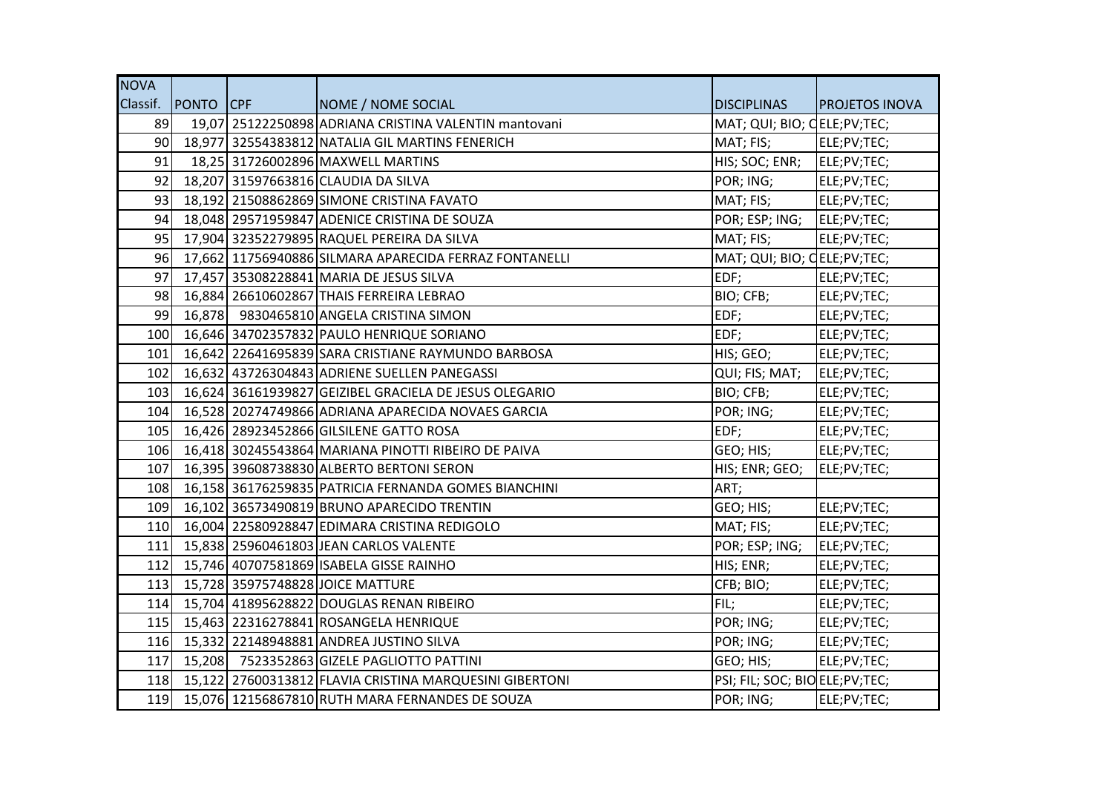| <b>NOVA</b>     |                    |                                                         |                                  |                       |
|-----------------|--------------------|---------------------------------------------------------|----------------------------------|-----------------------|
|                 | Classif. PONTO CPF | NOME / NOME SOCIAL                                      | <b>DISCIPLINAS</b>               | <b>PROJETOS INOVA</b> |
| 89              |                    | 19,07 25122250898 ADRIANA CRISTINA VALENTIN mantovani   | MAT; QUI; BIO; CELE; PV; TEC;    |                       |
| 90              |                    | 18,977 32554383812 NATALIA GIL MARTINS FENERICH         | MAT; FIS;                        | ELE;PV;TEC;           |
| 91              |                    | 18,25 31726002896 MAXWELL MARTINS                       | HIS; SOC; ENR;                   | ELE;PV;TEC;           |
| 92              |                    | 18,207 31597663816 CLAUDIA DA SILVA                     | POR; ING;                        | ELE;PV;TEC;           |
| 93              |                    | 18,192 21508862869 SIMONE CRISTINA FAVATO               | MAT; FIS;                        | ELE;PV;TEC;           |
| 94              |                    | 18,048 29571959847 ADENICE CRISTINA DE SOUZA            | POR; ESP; ING; ELE; PV; TEC;     |                       |
| 95 <sub>l</sub> |                    | 17,904 32352279895 RAQUEL PEREIRA DA SILVA              | MAT; FIS;                        | ELE;PV;TEC;           |
| 96              |                    | 17,662 11756940886 SILMARA APARECIDA FERRAZ FONTANELLI  | MAT; QUI; BIO; QELE;PV;TEC;      |                       |
| 97              |                    | 17,457 35308228841 MARIA DE JESUS SILVA                 | EDF;                             | ELE;PV;TEC;           |
| 98              |                    | 16,884 26610602867 THAIS FERREIRA LEBRAO                | BIO; CFB;                        | ELE;PV;TEC;           |
| 99              |                    | 16,878 9830465810 ANGELA CRISTINA SIMON                 | EDF;                             | ELE;PV;TEC;           |
| 100             |                    | 16,646 34702357832 PAULO HENRIQUE SORIANO               | EDF;                             | ELE;PV;TEC;           |
| 101             |                    | 16,642 22641695839 SARA CRISTIANE RAYMUNDO BARBOSA      | HIS; GEO;                        | ELE;PV;TEC;           |
| 102             |                    | 16,632 43726304843 ADRIENE SUELLEN PANEGASSI            | QUI; FIS; MAT;                   | ELE;PV;TEC;           |
| 103             |                    | 16,624 36161939827 GEIZIBEL GRACIELA DE JESUS OLEGARIO  | BIO; CFB;                        | ELE;PV;TEC;           |
| 104             |                    | 16,528 20274749866 ADRIANA APARECIDA NOVAES GARCIA      | POR; ING;                        | ELE;PV;TEC;           |
| 105             |                    | 16,426 28923452866 GILSILENE GATTO ROSA                 | EDF;                             | ELE;PV;TEC;           |
| 106             |                    | 16,418 30245543864 MARIANA PINOTTI RIBEIRO DE PAIVA     | GEO; HIS;                        | ELE;PV;TEC;           |
| 107             |                    | 16,395 39608738830 ALBERTO BERTONI SERON                | HIS; ENR; GEO;                   | ELE;PV;TEC;           |
| 108             |                    | 16,158 36176259835 PATRICIA FERNANDA GOMES BIANCHINI    | ART;                             |                       |
| 109             |                    | 16,102 36573490819 BRUNO APARECIDO TRENTIN              | GEO; HIS;                        | ELE;PV;TEC;           |
| 110             |                    | 16,004 22580928847 EDIMARA CRISTINA REDIGOLO            | MAT; FIS;                        | ELE;PV;TEC;           |
| 111             |                    | 15,838 25960461803 JEAN CARLOS VALENTE                  | POR; ESP; ING;                   | ELE;PV;TEC;           |
| 112             |                    | 15,746 40707581869 ISABELA GISSE RAINHO                 | HIS; ENR;                        | ELE;PV;TEC;           |
| 113             |                    | 15,728 35975748828 JOICE MATTURE                        | CFB; BIO;                        | ELE;PV;TEC;           |
| 114             |                    | 15,704 41895628822 DOUGLAS RENAN RIBEIRO                | FIL;                             | ELE;PV;TEC;           |
| 115             |                    | 15,463 22316278841 ROSANGELA HENRIQUE                   | POR; ING;                        | ELE;PV;TEC;           |
| 116             |                    | 15,332 22148948881 ANDREA JUSTINO SILVA                 | POR; ING;                        | ELE;PV;TEC;           |
| 117             |                    | 15,208 7523352863 GIZELE PAGLIOTTO PATTINI              | GEO; HIS;                        | ELE;PV;TEC;           |
| 118             |                    | 15,122 27600313812 FLAVIA CRISTINA MARQUESINI GIBERTONI | PSI; FIL; SOC; BIO ELE; PV; TEC; |                       |
| 119             |                    | 15,076 12156867810 RUTH MARA FERNANDES DE SOUZA         | POR; ING;                        | ELE;PV;TEC;           |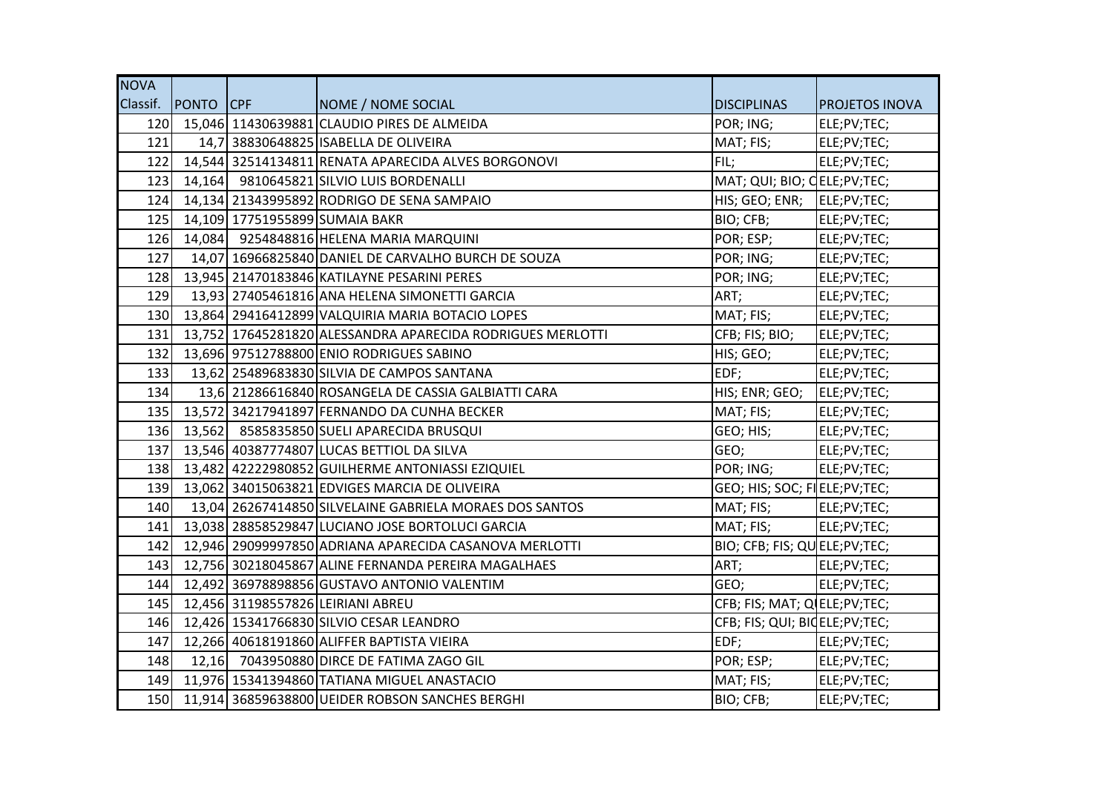| <b>NOVA</b> |                    |                                                            |                                 |                       |
|-------------|--------------------|------------------------------------------------------------|---------------------------------|-----------------------|
|             | Classif. PONTO CPF | NOME / NOME SOCIAL                                         | <b>DISCIPLINAS</b>              | <b>PROJETOS INOVA</b> |
|             |                    | 120 15,046 11430639881 CLAUDIO PIRES DE ALMEIDA            | POR; ING;                       | ELE;PV;TEC;           |
| 121         |                    | 14,7 38830648825 ISABELLA DE OLIVEIRA                      | MAT; FIS;                       | ELE;PV;TEC;           |
| 122         |                    | 14,544 32514134811 RENATA APARECIDA ALVES BORGONOVI        | FIL;                            | ELE;PV;TEC;           |
| 123         |                    | 14,164 9810645821 SILVIO LUIS BORDENALLI                   | MAT; QUI; BIO; CELE; PV; TEC;   |                       |
|             |                    | 124 14,134 21343995892 RODRIGO DE SENA SAMPAIO             | HIS; GEO; ENR; ELE;PV;TEC;      |                       |
|             |                    | 125 14,109 17751955899 SUMAIA BAKR                         | BIO; CFB;                       | ELE;PV;TEC;           |
|             |                    | 126 14,084 9254848816 HELENA MARIA MARQUINI                | POR; ESP;                       | ELE;PV;TEC;           |
| 127         |                    | 14,07 16966825840 DANIEL DE CARVALHO BURCH DE SOUZA        | POR; ING;                       | ELE;PV;TEC;           |
| 128         |                    | 13,945 21470183846 KATILAYNE PESARINI PERES                | POR; ING;                       | ELE;PV;TEC;           |
| 129         |                    | 13,93 27405461816 ANA HELENA SIMONETTI GARCIA              | ART;                            | ELE;PV;TEC;           |
| 130         |                    | 13,864 29416412899 VALQUIRIA MARIA BOTACIO LOPES           | MAT; FIS;                       | ELE;PV;TEC;           |
| 131         |                    | 13,752 17645281820 ALESSANDRA APARECIDA RODRIGUES MERLOTTI | CFB; FIS; BIO;                  | ELE;PV;TEC;           |
| 132         |                    | 13,696 97512788800 ENIO RODRIGUES SABINO                   | HIS; GEO;                       | ELE;PV;TEC;           |
| 133         |                    | 13,62 25489683830 SILVIA DE CAMPOS SANTANA                 | EDF;                            | ELE;PV;TEC;           |
| 134         |                    | 13,6 21286616840 ROSANGELA DE CASSIA GALBIATTI CARA        | HIS; ENR; GEO; ELE; PV; TEC;    |                       |
|             |                    | 135 13,572 34217941897 FERNANDO DA CUNHA BECKER            | MAT; FIS;                       | ELE;PV;TEC;           |
|             |                    | 136 13,562 8585835850 SUELI APARECIDA BRUSQUI              | GEO; HIS;                       | ELE;PV;TEC;           |
|             |                    | 137 13,546 40387774807 LUCAS BETTIOL DA SILVA              | GEO;                            | ELE;PV;TEC;           |
| 138         |                    | 13,482 42222980852 GUILHERME ANTONIASSI EZIQUIEL           | POR; ING;                       | ELE;PV;TEC;           |
|             |                    | 139 13,062 34015063821 EDVIGES MARCIA DE OLIVEIRA          | GEO; HIS; SOC; FIELE; PV; TEC;  |                       |
| 140         |                    | 13,04 26267414850 SILVELAINE GABRIELA MORAES DOS SANTOS    | MAT; FIS;                       | ELE;PV;TEC;           |
| 141         |                    | 13,038 28858529847 LUCIANO JOSE BORTOLUCI GARCIA           | MAT; FIS;                       | ELE;PV;TEC;           |
| 142         |                    | 12,946 29099997850 ADRIANA APARECIDA CASANOVA MERLOTTI     | BIO; CFB; FIS; QUELE; PV; TEC;  |                       |
|             |                    | 143 12,756 30218045867 ALINE FERNANDA PEREIRA MAGALHAES    | ART;                            | ELE;PV;TEC;           |
| 144         |                    | 12,492 36978898856 GUSTAVO ANTONIO VALENTIM                | GEO;                            | ELE;PV;TEC;           |
|             |                    | 145 12,456 31198557826 LEIRIANI ABREU                      | CFB; FIS; MAT; Q ELE; PV; TEC;  |                       |
| 146         |                    | 12,426 15341766830 SILVIO CESAR LEANDRO                    | CFB; FIS; QUI; BIOELE; PV; TEC; |                       |
| 147         |                    | 12,266 40618191860 ALIFFER BAPTISTA VIEIRA                 | EDF;                            | ELE;PV;TEC;           |
| 148         |                    | 12,16 7043950880 DIRCE DE FATIMA ZAGO GIL                  | POR; ESP;                       | ELE;PV;TEC;           |
|             |                    | 149 11,976 15341394860 TATIANA MIGUEL ANASTACIO            | MAT; FIS;                       | ELE;PV;TEC;           |
|             |                    | 150 11,914 36859638800 UEIDER ROBSON SANCHES BERGHI        | BIO; CFB;                       | ELE;PV;TEC;           |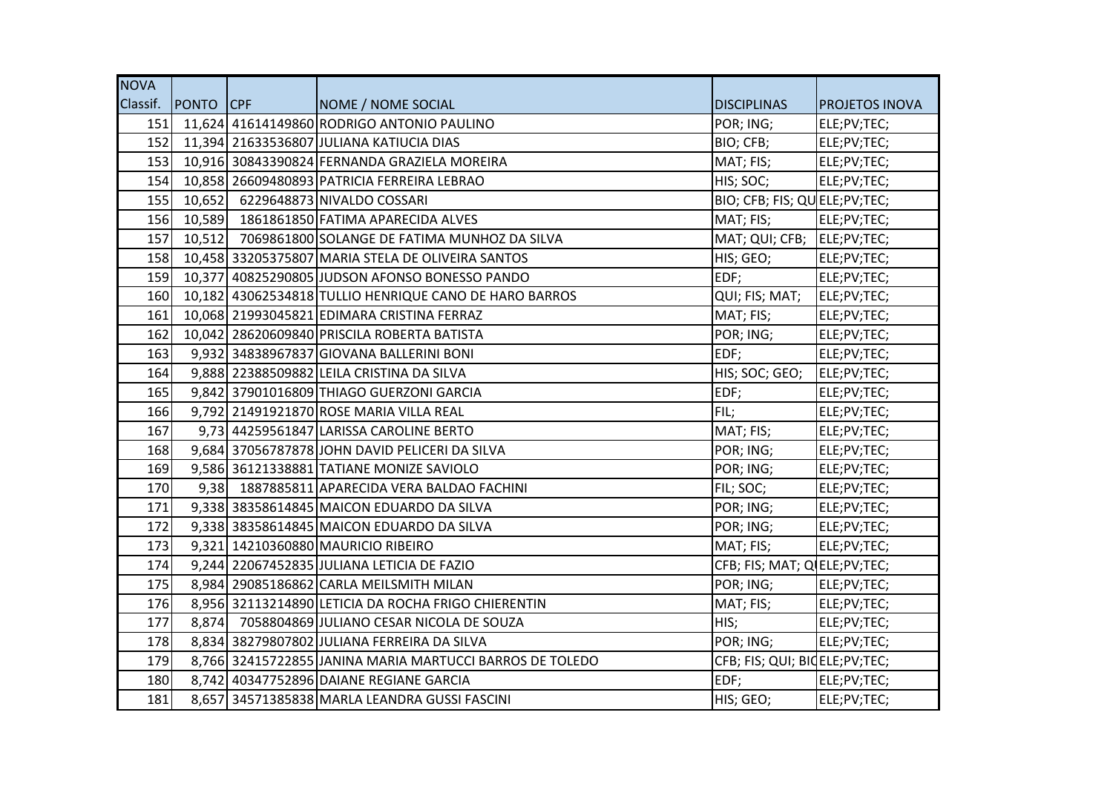| <b>NOVA</b> |                    |                                                          |                                 |                       |
|-------------|--------------------|----------------------------------------------------------|---------------------------------|-----------------------|
|             | Classif. PONTO CPF | NOME / NOME SOCIAL                                       | <b>DISCIPLINAS</b>              | <b>PROJETOS INOVA</b> |
| 151         |                    | 11,624 41614149860 RODRIGO ANTONIO PAULINO               | POR; ING;                       | ELE;PV;TEC;           |
| 152         |                    | 11,394 21633536807 JULIANA KATIUCIA DIAS                 | BIO; CFB;                       | ELE;PV;TEC;           |
| 153         |                    | 10,916 30843390824 FERNANDA GRAZIELA MOREIRA             | MAT; FIS;                       | ELE;PV;TEC;           |
| 154         |                    | 10,858 26609480893 PATRICIA FERREIRA LEBRAO              | HIS; SOC;                       | ELE;PV;TEC;           |
| 155         |                    | 10,652 6229648873 NIVALDO COSSARI                        | BIO; CFB; FIS; QUELE; PV; TEC;  |                       |
| 156         |                    | 10,589 1861861850 FATIMA APARECIDA ALVES                 | MAT; FIS;                       | ELE;PV;TEC;           |
| 157         |                    | 10,512 7069861800 SOLANGE DE FATIMA MUNHOZ DA SILVA      | MAT; QUI; CFB; ELE;PV;TEC;      |                       |
| 158         |                    | 10,458 33205375807 MARIA STELA DE OLIVEIRA SANTOS        | HIS; GEO;                       | ELE;PV;TEC;           |
| 159         |                    | 10,377 40825290805 JJUDSON AFONSO BONESSO PANDO          | EDF;                            | ELE;PV;TEC;           |
| 160         |                    | 10,182 43062534818 TULLIO HENRIQUE CANO DE HARO BARROS   | QUI; FIS; MAT;                  | ELE;PV;TEC;           |
| 161         |                    | 10,068 21993045821 EDIMARA CRISTINA FERRAZ               | MAT; FIS;                       | ELE;PV;TEC;           |
| 162         |                    | 10,042 28620609840 PRISCILA ROBERTA BATISTA              | POR; ING;                       | ELE;PV;TEC;           |
| 163         |                    | 9,932 34838967837 GIOVANA BALLERINI BONI                 | EDF;                            | ELE;PV;TEC;           |
| 164         |                    | 9,888 22388509882 LEILA CRISTINA DA SILVA                | HIS; SOC; GEO;                  | ELE;PV;TEC;           |
| 165         |                    | 9,842 37901016809 THIAGO GUERZONI GARCIA                 | EDF;                            | ELE;PV;TEC;           |
| 166         |                    | 9,792 21491921870 ROSE MARIA VILLA REAL                  | FIL;                            | ELE;PV;TEC;           |
| 167         |                    | 9,73 44259561847 LARISSA CAROLINE BERTO                  | MAT; FIS;                       | ELE;PV;TEC;           |
| 168         |                    | 9,684 37056787878 JOHN DAVID PELICERI DA SILVA           | POR; ING;                       | ELE;PV;TEC;           |
| 169         |                    | 9,586 36121338881 TATIANE MONIZE SAVIOLO                 | POR; ING;                       | ELE;PV;TEC;           |
| 170         |                    | 9,38 1887885811 APARECIDA VERA BALDAO FACHINI            | FIL; SOC;                       | ELE;PV;TEC;           |
| 171         |                    | 9,338 38358614845 MAICON EDUARDO DA SILVA                | POR; ING;                       | ELE;PV;TEC;           |
| 172         |                    | 9,338 38358614845 MAICON EDUARDO DA SILVA                | POR; ING;                       | ELE;PV;TEC;           |
| 173         |                    | 9,321 14210360880 MAURICIO RIBEIRO                       | MAT; FIS;                       | ELE;PV;TEC;           |
| 174         |                    | 9,244 22067452835 JULIANA LETICIA DE FAZIO               | CFB; FIS; MAT; Q ELE; PV; TEC;  |                       |
| 175         |                    | 8,984 29085186862 CARLA MEILSMITH MILAN                  | POR; ING;                       | ELE;PV;TEC;           |
| 176         |                    | 8,956 32113214890 LETICIA DA ROCHA FRIGO CHIERENTIN      | MAT; FIS;                       | ELE;PV;TEC;           |
| 177         |                    | 8,874 7058804869 JULIANO CESAR NICOLA DE SOUZA           | HIS;                            | ELE;PV;TEC;           |
| 178         |                    | 8,834 38279807802 JULIANA FERREIRA DA SILVA              | POR; ING;                       | ELE;PV;TEC;           |
| 179         |                    | 8,766 32415722855 JANINA MARIA MARTUCCI BARROS DE TOLEDO | CFB; FIS; QUI; BIOELE; PV; TEC; |                       |
| 180         |                    | 8,742 40347752896 DAIANE REGIANE GARCIA                  | EDF;                            | ELE;PV;TEC;           |
| 181         |                    | 8,657 34571385838 MARLA LEANDRA GUSSI FASCINI            | HIS; GEO;                       | ELE;PV;TEC;           |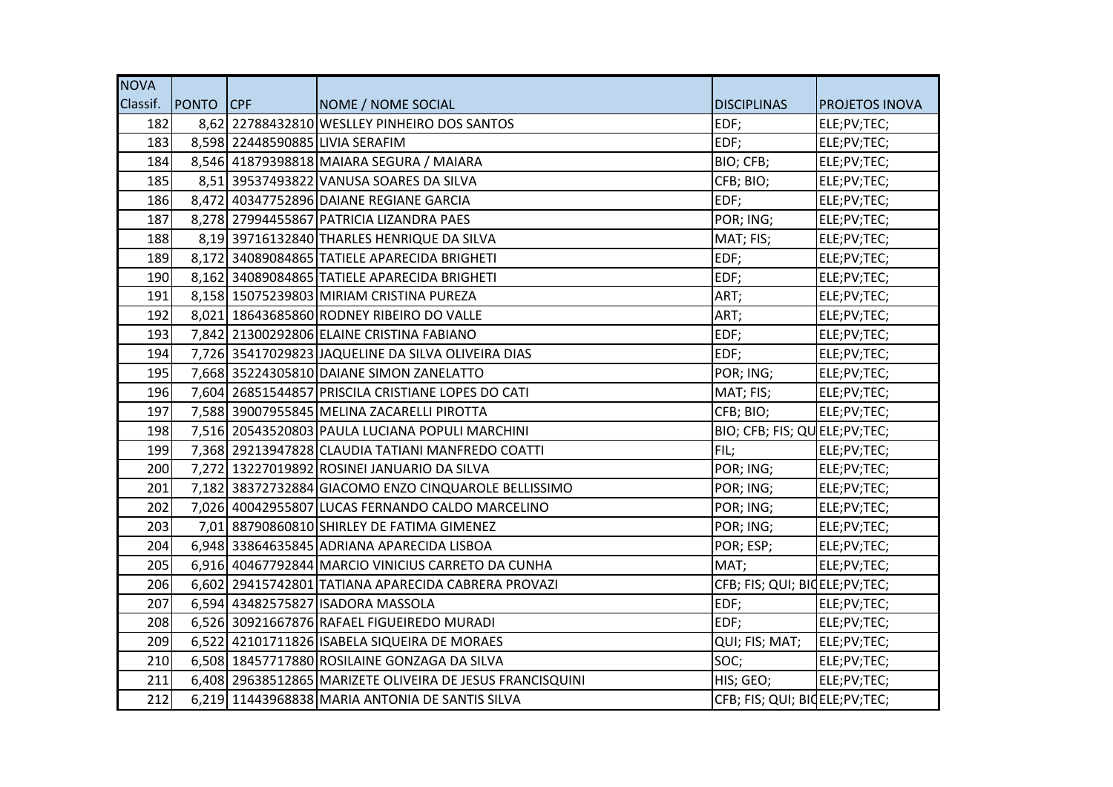| <b>NOVA</b> |                    |                                                           |                                 |                       |
|-------------|--------------------|-----------------------------------------------------------|---------------------------------|-----------------------|
|             | Classif. PONTO CPF | NOME / NOME SOCIAL                                        | <b>DISCIPLINAS</b>              | <b>PROJETOS INOVA</b> |
| 182         |                    | 8,62 22788432810 WESLLEY PINHEIRO DOS SANTOS              | EDF;                            | ELE;PV;TEC;           |
| 183         |                    | 8,598 22448590885 LIVIA SERAFIM                           | EDF;                            | ELE;PV;TEC;           |
| 184         |                    | 8,546 41879398818 MAIARA SEGURA / MAIARA                  | BIO; CFB;                       | ELE;PV;TEC;           |
| 185         |                    | 8,51 39537493822 VANUSA SOARES DA SILVA                   | CFB; BIO;                       | ELE;PV;TEC;           |
| 186         |                    | 8,472 40347752896 DAIANE REGIANE GARCIA                   | EDF;                            | ELE;PV;TEC;           |
| 187         |                    | 8,278 27994455867 PATRICIA LIZANDRA PAES                  | POR; ING;                       | ELE;PV;TEC;           |
| 188         |                    | 8,19 39716132840 THARLES HENRIQUE DA SILVA                | MAT; FIS;                       | ELE;PV;TEC;           |
| 189         |                    | 8,172 34089084865 TATIELE APARECIDA BRIGHETI              | EDF;                            | ELE;PV;TEC;           |
| 190         |                    | 8,162 34089084865 TATIELE APARECIDA BRIGHETI              | EDF;                            | ELE;PV;TEC;           |
| 191         |                    | 8,158 15075239803 MIRIAM CRISTINA PUREZA                  | ART;                            | ELE;PV;TEC;           |
| 192         |                    | 8,021 18643685860 RODNEY RIBEIRO DO VALLE                 | ART;                            | ELE;PV;TEC;           |
| 193         |                    | 7,842 21300292806 ELAINE CRISTINA FABIANO                 | EDF;                            | ELE;PV;TEC;           |
| 194         |                    | 7,726 35417029823 JAQUELINE DA SILVA OLIVEIRA DIAS        | EDF;                            | ELE;PV;TEC;           |
| 195         |                    | 7,668 35224305810 DAIANE SIMON ZANELATTO                  | POR; ING;                       | ELE;PV;TEC;           |
| 196         |                    | 7,604 26851544857 PRISCILA CRISTIANE LOPES DO CATI        | MAT; FIS;                       | ELE;PV;TEC;           |
| 197         |                    | 7,588 39007955845 MELINA ZACARELLI PIROTTA                | CFB; BIO;                       | ELE;PV;TEC;           |
| 198         |                    | 7,516 20543520803 PAULA LUCIANA POPULI MARCHINI           | BIO; CFB; FIS; QUELE; PV; TEC;  |                       |
| 199         |                    | 7,368 29213947828 CLAUDIA TATIANI MANFREDO COATTI         | FIL;                            | ELE;PV;TEC;           |
| 200         |                    | 7,272 13227019892 ROSINEI JANUARIO DA SILVA               | POR; ING;                       | ELE;PV;TEC;           |
| 201         |                    | 7,182 38372732884 GIACOMO ENZO CINQUAROLE BELLISSIMO      | POR; ING;                       | ELE;PV;TEC;           |
| 202         |                    | 7,026 40042955807 LUCAS FERNANDO CALDO MARCELINO          | POR; ING;                       | ELE;PV;TEC;           |
| 203         |                    | 7,01 88790860810 SHIRLEY DE FATIMA GIMENEZ                | POR; ING;                       | ELE;PV;TEC;           |
| 204         |                    | 6,948 33864635845 ADRIANA APARECIDA LISBOA                | POR; ESP;                       | ELE;PV;TEC;           |
| 205         |                    | 6,916 40467792844 MARCIO VINICIUS CARRETO DA CUNHA        | MAT;                            | ELE;PV;TEC;           |
| 206         |                    | 6,602 29415742801 TATIANA APARECIDA CABRERA PROVAZI       | CFB; FIS; QUI; BIQELE; PV; TEC; |                       |
| 207         |                    | 6,594 43482575827 ISADORA MASSOLA                         | EDF;                            | ELE;PV;TEC;           |
| 208         |                    | 6,526 30921667876 RAFAEL FIGUEIREDO MURADI                | EDF;                            | ELE;PV;TEC;           |
| 209         |                    | 6,522 42101711826 ISABELA SIQUEIRA DE MORAES              | QUI; FIS; MAT;                  | ELE;PV;TEC;           |
| 210         |                    | 6,508 18457717880 ROSILAINE GONZAGA DA SILVA              | SOC;                            | ELE;PV;TEC;           |
| 211         |                    | 6,408 29638512865 MARIZETE OLIVEIRA DE JESUS FRANCISQUINI | HIS; GEO;                       | ELE;PV;TEC;           |
| 212         |                    | 6,219 11443968838 MARIA ANTONIA DE SANTIS SILVA           | CFB; FIS; QUI; BIOELE; PV; TEC; |                       |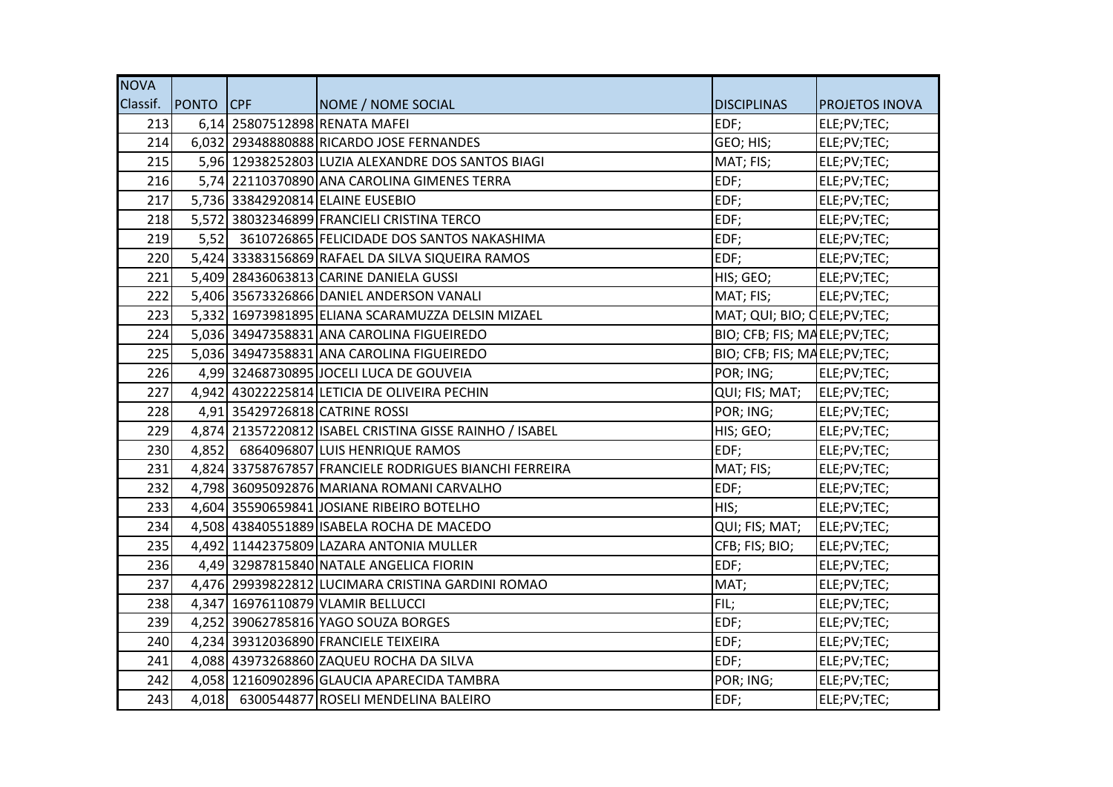| <b>NOVA</b> |                    |                                                         |                                |                       |
|-------------|--------------------|---------------------------------------------------------|--------------------------------|-----------------------|
|             | Classif. PONTO CPF | NOME / NOME SOCIAL                                      | <b>DISCIPLINAS</b>             | <b>PROJETOS INOVA</b> |
| 213         |                    | 6,14 25807512898 RENATA MAFEI                           | EDF;                           | ELE;PV;TEC;           |
| 214         |                    | 6,032 29348880888 RICARDO JOSE FERNANDES                | GEO; HIS;                      | ELE;PV;TEC;           |
| 215         |                    | 5,96 12938252803 LUZIA ALEXANDRE DOS SANTOS BIAGI       | MAT; FIS;                      | ELE;PV;TEC;           |
| 216         |                    | 5,74 22110370890 ANA CAROLINA GIMENES TERRA             | EDF;                           | ELE;PV;TEC;           |
| 217         |                    | 5,736 33842920814 ELAINE EUSEBIO                        | EDF;                           | ELE;PV;TEC;           |
| 218         |                    | 5,572 38032346899 FRANCIELI CRISTINA TERCO              | EDF;                           | ELE;PV;TEC;           |
| 219         |                    | 5,52 3610726865 FELICIDADE DOS SANTOS NAKASHIMA         | EDF;                           | ELE;PV;TEC;           |
| 220         |                    | 5,424 33383156869 RAFAEL DA SILVA SIQUEIRA RAMOS        | EDF;                           | ELE;PV;TEC;           |
| 221         |                    | 5,409 28436063813 CARINE DANIELA GUSSI                  | HIS; GEO;                      | ELE;PV;TEC;           |
| 222         |                    | 5,406 35673326866 DANIEL ANDERSON VANALI                | MAT; FIS;                      | ELE;PV;TEC;           |
| 223         |                    | 5,332 16973981895 ELIANA SCARAMUZZA DELSIN MIZAEL       | MAT; QUI; BIO; CELE; PV; TEC;  |                       |
| 224         |                    | 5,036 34947358831 ANA CAROLINA FIGUEIREDO               | BIO; CFB; FIS; MAELE;PV;TEC;   |                       |
| 225         |                    | 5,036 34947358831 ANA CAROLINA FIGUEIREDO               | BIO; CFB; FIS; MAELE; PV; TEC; |                       |
| 226         |                    | 4,99 32468730895 JOCELI LUCA DE GOUVEIA                 | POR; ING;                      | ELE;PV;TEC;           |
| 227         |                    | 4,942 43022225814 LETICIA DE OLIVEIRA PECHIN            | QUI; FIS; MAT; ELE; PV; TEC;   |                       |
| 228         |                    | 4,91 35429726818 CATRINE ROSSI                          | POR; ING;                      | ELE;PV;TEC;           |
| 229         |                    | 4,874 21357220812 ISABEL CRISTINA GISSE RAINHO / ISABEL | HIS; GEO;                      | ELE;PV;TEC;           |
| 230         |                    | 4,852 6864096807 LUIS HENRIQUE RAMOS                    | EDF;                           | ELE;PV;TEC;           |
| 231         |                    | 4,824 33758767857 FRANCIELE RODRIGUES BIANCHI FERREIRA  | MAT; FIS;                      | ELE;PV;TEC;           |
| 232         |                    | 4,798 36095092876 MARIANA ROMANI CARVALHO               | EDF;                           | ELE;PV;TEC;           |
| 233         |                    | 4,604 35590659841 JOSIANE RIBEIRO BOTELHO               | HIS;                           | ELE;PV;TEC;           |
| 234         |                    | 4,508 43840551889 ISABELA ROCHA DE MACEDO               | QUI; FIS; MAT;                 | ELE;PV;TEC;           |
| 235         |                    | 4,492 11442375809 LAZARA ANTONIA MULLER                 | CFB; FIS; BIO;                 | ELE;PV;TEC;           |
| 236         |                    | 4,49 32987815840 NATALE ANGELICA FIORIN                 | EDF;                           | ELE;PV;TEC;           |
| 237         |                    | 4,476 29939822812 LUCIMARA CRISTINA GARDINI ROMAO       | MAT;                           | ELE;PV;TEC;           |
| 238         |                    | 4,347 16976110879 VLAMIR BELLUCCI                       | FIL;                           | ELE;PV;TEC;           |
| 239         |                    | 4,252 39062785816 YAGO SOUZA BORGES                     | EDF;                           | ELE;PV;TEC;           |
| 240         |                    | 4,234 39312036890 FRANCIELE TEIXEIRA                    | EDF;                           | ELE;PV;TEC;           |
| 241         |                    | 4,088 43973268860 ZAQUEU ROCHA DA SILVA                 | EDF;                           | ELE;PV;TEC;           |
| 242         |                    | 4,058 12160902896 GLAUCIA APARECIDA TAMBRA              | POR; ING;                      | ELE;PV;TEC;           |
| 243         |                    | 4,018 6300544877 ROSELI MENDELINA BALEIRO               | EDF;                           | ELE;PV;TEC;           |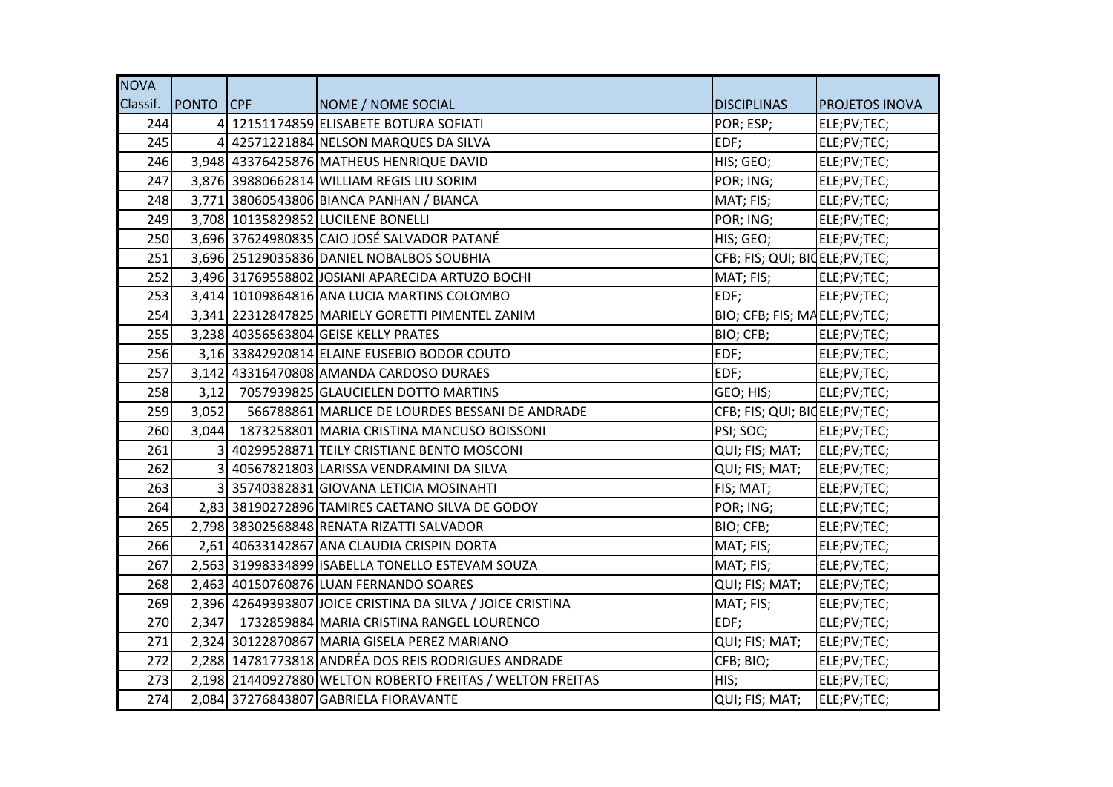| <b>NOVA</b> |                  |                                                            |                                 |                       |
|-------------|------------------|------------------------------------------------------------|---------------------------------|-----------------------|
| Classif.    | <b>PONTO CPF</b> | NOME / NOME SOCIAL                                         | <b>DISCIPLINAS</b>              | <b>PROJETOS INOVA</b> |
| 244         |                  | 4 12151174859 ELISABETE BOTURA SOFIATI                     | POR; ESP;                       | ELE;PV;TEC;           |
| 245         |                  | 4 42571221884 NELSON MARQUES DA SILVA                      | EDF;                            | ELE;PV;TEC;           |
| 246         |                  | 3,948 43376425876 MATHEUS HENRIQUE DAVID                   | HIS; GEO;                       | ELE;PV;TEC;           |
| 247         |                  | 3,876 39880662814 WILLIAM REGIS LIU SORIM                  | POR; ING;                       | ELE;PV;TEC;           |
| 248         |                  | 3,771 38060543806 BIANCA PANHAN / BIANCA                   | MAT; FIS;                       | ELE;PV;TEC;           |
| 249         |                  | 3,708 10135829852 LUCILENE BONELLI                         | POR; ING;                       | ELE;PV;TEC;           |
| 250         |                  | 3,696 37624980835 CAIO JOSÉ SALVADOR PATANÉ                | HIS; GEO;                       | ELE;PV;TEC;           |
| 251         |                  | 3,696 25129035836 DANIEL NOBALBOS SOUBHIA                  | CFB; FIS; QUI; BIOELE; PV; TEC; |                       |
| 252         |                  | 3,496 31769558802 JOSIANI APARECIDA ARTUZO BOCHI           | MAT; FIS;                       | ELE;PV;TEC;           |
| 253         |                  | 3,414 10109864816 ANA LUCIA MARTINS COLOMBO                | EDF;                            | ELE;PV;TEC;           |
| 254         |                  | 3,341 22312847825 MARIELY GORETTI PIMENTEL ZANIM           | BIO; CFB; FIS; MAELE;PV;TEC;    |                       |
| 255         |                  | 3,238 40356563804 GEISE KELLY PRATES                       | BIO; CFB;                       | ELE;PV;TEC;           |
| 256         |                  | 3,16 33842920814 ELAINE EUSEBIO BODOR COUTO                | EDF;                            | ELE;PV;TEC;           |
| 257         |                  | 3,142 43316470808 AMANDA CARDOSO DURAES                    | EDF;                            | ELE;PV;TEC;           |
| 258         |                  | 3,12 7057939825 GLAUCIELEN DOTTO MARTINS                   | GEO; HIS;                       | ELE;PV;TEC;           |
| 259         | 3,052            | 566788861 MARLICE DE LOURDES BESSANI DE ANDRADE            | CFB; FIS; QUI; BIQELE;PV;TEC;   |                       |
| 260         |                  | 3,044 1873258801 MARIA CRISTINA MANCUSO BOISSONI           | PSI; SOC;                       | ELE;PV;TEC;           |
| 261         | 31               | 40299528871 TEILY CRISTIANE BENTO MOSCONI                  | QUI; FIS; MAT;                  | ELE;PV;TEC;           |
| 262         |                  | 3 40567821803 LARISSA VENDRAMINI DA SILVA                  | QUI; FIS; MAT;                  | ELE;PV;TEC;           |
| 263         |                  | 3 35740382831 GIOVANA LETICIA MOSINAHTI                    | FIS; MAT;                       | ELE;PV;TEC;           |
| 264         |                  | 2,83 38190272896 TAMIRES CAETANO SILVA DE GODOY            | POR; ING;                       | ELE;PV;TEC;           |
| 265         |                  | 2,798 38302568848 RENATA RIZATTI SALVADOR                  | BIO; CFB;                       | ELE;PV;TEC;           |
| 266         |                  | 2,61 40633142867 ANA CLAUDIA CRISPIN DORTA                 | MAT; FIS;                       | ELE;PV;TEC;           |
| 267         |                  | 2,563 31998334899 ISABELLA TONELLO ESTEVAM SOUZA           | MAT; FIS;                       | ELE;PV;TEC;           |
| 268         |                  | 2,463 40150760876 LUAN FERNANDO SOARES                     | QUI; FIS; MAT;                  | ELE;PV;TEC;           |
| 269         |                  | 2,396 42649393807 JOICE CRISTINA DA SILVA / JOICE CRISTINA | MAT; FIS;                       | ELE;PV;TEC;           |
| 270         |                  | 2,347 1732859884 MARIA CRISTINA RANGEL LOURENCO            | EDF;                            | ELE;PV;TEC;           |
| 271         |                  | 2,324 30122870867 MARIA GISELA PEREZ MARIANO               | QUI; FIS; MAT;                  | ELE;PV;TEC;           |
| 272         |                  | 2,288 14781773818 ANDRÉA DOS REIS RODRIGUES ANDRADE        | CFB; BIO;                       | ELE;PV;TEC;           |
| 273         |                  | 2,198 21440927880 WELTON ROBERTO FREITAS / WELTON FREITAS  | HIS;                            | ELE;PV;TEC;           |
| 274         |                  | 2,084 37276843807 GABRIELA FIORAVANTE                      | QUI; FIS; MAT;                  | ELE;PV;TEC;           |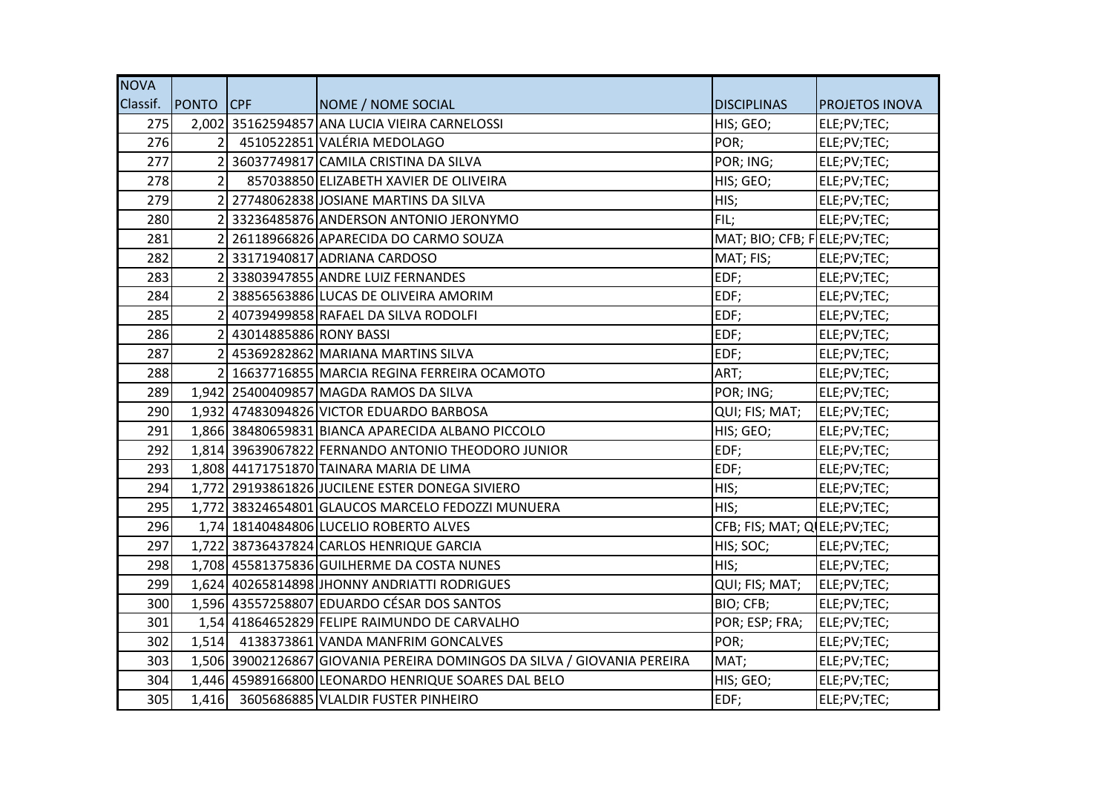| <b>NOVA</b> |                    |                          |                                                                         |                                |                       |
|-------------|--------------------|--------------------------|-------------------------------------------------------------------------|--------------------------------|-----------------------|
|             | Classif. PONTO CPF |                          | NOME / NOME SOCIAL                                                      | <b>DISCIPLINAS</b>             | <b>PROJETOS INOVA</b> |
| 275         |                    |                          | 2,002 35162594857 ANA LUCIA VIEIRA CARNELOSSI                           | HIS; GEO;                      | ELE;PV;TEC;           |
| 276         |                    |                          | 4510522851 VALÉRIA MEDOLAGO                                             | POR;                           | ELE;PV;TEC;           |
| 277         |                    |                          | 2 36037749817 CAMILA CRISTINA DA SILVA                                  | POR; ING;                      | ELE;PV;TEC;           |
| 278         | $\overline{2}$     |                          | 857038850 ELIZABETH XAVIER DE OLIVEIRA                                  | HIS; GEO;                      | ELE;PV;TEC;           |
| 279         |                    |                          | 2 27748062838 JOSIANE MARTINS DA SILVA                                  | HIS;                           | ELE;PV;TEC;           |
| 280         |                    |                          | 33236485876 ANDERSON ANTONIO JERONYMO                                   | FIL;                           | ELE;PV;TEC;           |
| 281         |                    |                          | 2 26118966826 APARECIDA DO CARMO SOUZA                                  | MAT; BIO; CFB; FELE; PV; TEC;  |                       |
| 282         |                    |                          | 2 33171940817 ADRIANA CARDOSO                                           | MAT; FIS;                      | ELE;PV;TEC;           |
| 283         |                    |                          | 2 33803947855 ANDRE LUIZ FERNANDES                                      | EDF;                           | ELE;PV;TEC;           |
| 284         | $\overline{2}$     |                          | 38856563886 LUCAS DE OLIVEIRA AMORIM                                    | EDF;                           | ELE;PV;TEC;           |
| 285         |                    |                          | 2 40739499858 RAFAEL DA SILVA RODOLFI                                   | EDF;                           | ELE;PV;TEC;           |
| 286         |                    | 2 43014885886 RONY BASSI |                                                                         | EDF;                           | ELE;PV;TEC;           |
| 287         |                    |                          | 2 45369282862 MARIANA MARTINS SILVA                                     | EDF;                           | ELE;PV;TEC;           |
| 288         |                    |                          | 2 16637716855 MARCIA REGINA FERREIRA OCAMOTO                            | ART;                           | ELE;PV;TEC;           |
| 289         |                    |                          | 1,942 25400409857 MAGDA RAMOS DA SILVA                                  | POR; ING;                      | ELE;PV;TEC;           |
| 290         |                    |                          | 1,932 47483094826 VICTOR EDUARDO BARBOSA                                | QUI; FIS; MAT;                 | ELE;PV;TEC;           |
| 291         |                    |                          | 1,866 38480659831 BIANCA APARECIDA ALBANO PICCOLO                       | HIS; GEO;                      | ELE;PV;TEC;           |
| 292         |                    |                          | 1,814 39639067822 FERNANDO ANTONIO THEODORO JUNIOR                      | EDF;                           | ELE;PV;TEC;           |
| 293         |                    |                          | 1,808 44171751870 TAINARA MARIA DE LIMA                                 | EDF;                           | ELE;PV;TEC;           |
| 294         |                    |                          | 1,772 29193861826 JUCILENE ESTER DONEGA SIVIERO                         | HIS;                           | ELE;PV;TEC;           |
| 295         |                    |                          | 1,772 38324654801 GLAUCOS MARCELO FEDOZZI MUNUERA                       | HIS;                           | ELE;PV;TEC;           |
| 296         |                    |                          | 1,74 18140484806 LUCELIO ROBERTO ALVES                                  | CFB; FIS; MAT; Q ELE; PV; TEC; |                       |
| 297         |                    |                          | 1,722 38736437824 CARLOS HENRIQUE GARCIA                                | HIS; SOC;                      | ELE;PV;TEC;           |
| 298         |                    |                          | 1,708 45581375836 GUILHERME DA COSTA NUNES                              | HIS;                           | ELE;PV;TEC;           |
| 299         |                    |                          | 1,624 40265814898 JHONNY ANDRIATTI RODRIGUES                            | QUI; FIS; MAT;                 | ELE;PV;TEC;           |
| 300         |                    |                          | 1,596 43557258807 EDUARDO CÉSAR DOS SANTOS                              | BIO; CFB;                      | ELE;PV;TEC;           |
| 301         |                    |                          | 1,54 41864652829 FELIPE RAIMUNDO DE CARVALHO                            | POR; ESP; FRA;                 | ELE;PV;TEC;           |
| 302         |                    |                          | 1,514 4138373861 VANDA MANFRIM GONCALVES                                | POR;                           | ELE;PV;TEC;           |
| 303         |                    |                          | 1,506 39002126867 GIOVANIA PEREIRA DOMINGOS DA SILVA / GIOVANIA PEREIRA | MAT;                           | ELE;PV;TEC;           |
| 304         |                    |                          | 1,446 45989166800 LEONARDO HENRIQUE SOARES DAL BELO                     | HIS; GEO;                      | ELE;PV;TEC;           |
| 305         |                    |                          | 1,416 3605686885 VLALDIR FUSTER PINHEIRO                                | EDF;                           | ELE;PV;TEC;           |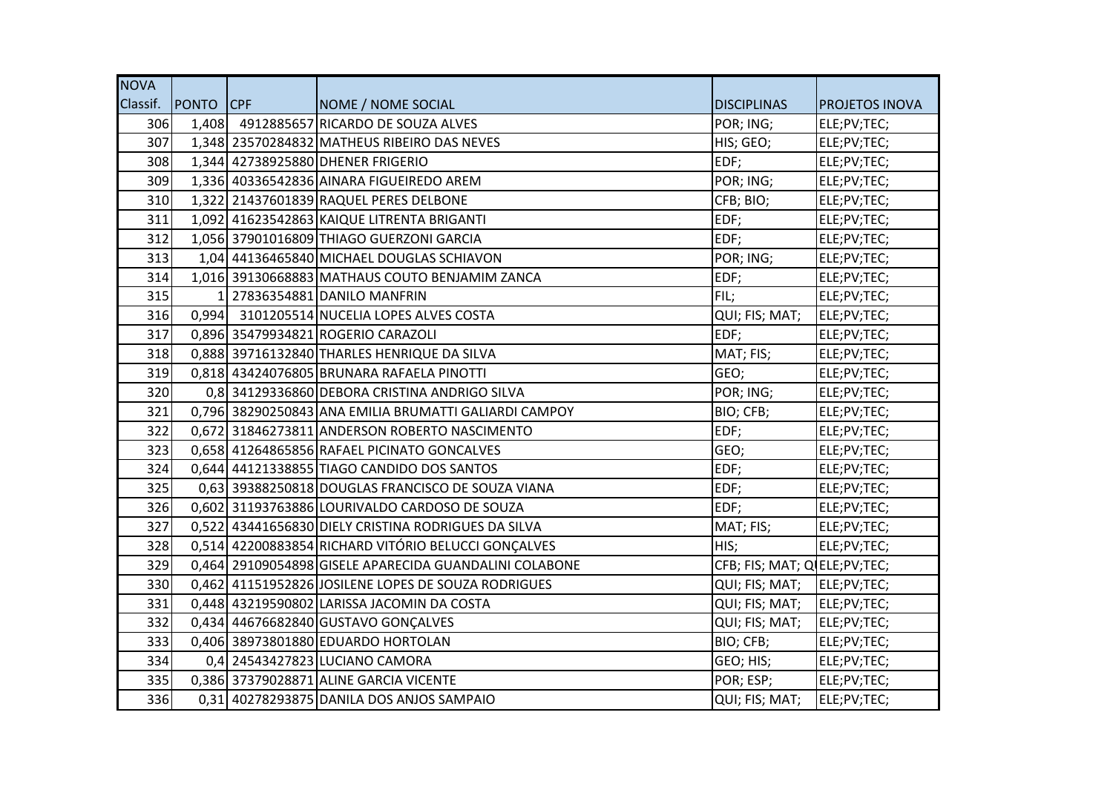| <b>NOVA</b> |                  |                                                        |                                |                       |
|-------------|------------------|--------------------------------------------------------|--------------------------------|-----------------------|
| Classif.    | <b>PONTO</b> CPF | NOME / NOME SOCIAL                                     | <b>DISCIPLINAS</b>             | <b>PROJETOS INOVA</b> |
| 306         |                  | 1,408 4912885657 RICARDO DE SOUZA ALVES                | POR; ING;                      | ELE;PV;TEC;           |
| 307         |                  | 1,348 23570284832 MATHEUS RIBEIRO DAS NEVES            | HIS; GEO;                      | ELE;PV;TEC;           |
| 308         |                  | 1,344 42738925880 DHENER FRIGERIO                      | EDF;                           | ELE;PV;TEC;           |
| 309         |                  | 1,336 40336542836 AINARA FIGUEIREDO AREM               | POR; ING;                      | ELE;PV;TEC;           |
| 310         |                  | 1,322 21437601839 RAQUEL PERES DELBONE                 | CFB; BIO;                      | ELE;PV;TEC;           |
| 311         |                  | 1,092 41623542863 KAIQUE LITRENTA BRIGANTI             | EDF;                           | ELE;PV;TEC;           |
| 312         |                  | 1,056 37901016809 THIAGO GUERZONI GARCIA               | EDF;                           | ELE;PV;TEC;           |
| 313         |                  | 1,04 44136465840 MICHAEL DOUGLAS SCHIAVON              | POR; ING;                      | ELE;PV;TEC;           |
| 314         |                  | 1,016 39130668883 MATHAUS COUTO BENJAMIM ZANCA         | EDF;                           | ELE;PV;TEC;           |
| 315         |                  | 1 27836354881 DANILO MANFRIN                           | FIL;                           | ELE;PV;TEC;           |
| 316         |                  | 0,994 3101205514 NUCELIA LOPES ALVES COSTA             | QUI; FIS; MAT;                 | ELE;PV;TEC;           |
| 317         |                  | 0,896 35479934821 ROGERIO CARAZOLI                     | EDF;                           | ELE;PV;TEC;           |
| 318         |                  | 0,888 39716132840 THARLES HENRIQUE DA SILVA            | MAT; FIS;                      | ELE;PV;TEC;           |
| 319         |                  | 0,818 43424076805 BRUNARA RAFAELA PINOTTI              | GEO;                           | ELE;PV;TEC;           |
| 320         |                  | 0,8 34129336860 DEBORA CRISTINA ANDRIGO SILVA          | POR; ING;                      | ELE;PV;TEC;           |
| 321         |                  | 0,796 38290250843 ANA EMILIA BRUMATTI GALIARDI CAMPOY  | BIO; CFB;                      | ELE;PV;TEC;           |
| 322         |                  | 0,672 31846273811 ANDERSON ROBERTO NASCIMENTO          | EDF;                           | ELE;PV;TEC;           |
| 323         |                  | 0,658 41264865856 RAFAEL PICINATO GONCALVES            | GEO;                           | ELE;PV;TEC;           |
| 324         |                  | 0,644 44121338855 TIAGO CANDIDO DOS SANTOS             | EDF;                           | ELE;PV;TEC;           |
| 325         |                  | 0,63 39388250818 DOUGLAS FRANCISCO DE SOUZA VIANA      | EDF;                           | ELE;PV;TEC;           |
| 326         |                  | 0,602 31193763886 LOURIVALDO CARDOSO DE SOUZA          | EDF;                           | ELE;PV;TEC;           |
| 327         |                  | 0,522 43441656830 DIELY CRISTINA RODRIGUES DA SILVA    | MAT; FIS;                      | ELE;PV;TEC;           |
| 328         |                  | 0,514 42200883854 RICHARD VITÓRIO BELUCCI GONÇALVES    | HIS;                           | ELE;PV;TEC;           |
| 329         |                  | 0,464 29109054898 GISELE APARECIDA GUANDALINI COLABONE | CFB; FIS; MAT; Q ELE; PV; TEC; |                       |
| 330         |                  | 0,462 41151952826 JOSILENE LOPES DE SOUZA RODRIGUES    | QUI; FIS; MAT;                 | ELE;PV;TEC;           |
| 331         |                  | 0,448 43219590802 LARISSA JACOMIN DA COSTA             | QUI; FIS; MAT;                 | ELE;PV;TEC;           |
| 332         |                  | 0,434 44676682840 GUSTAVO GONÇALVES                    | QUI; FIS; MAT;                 | ELE;PV;TEC;           |
| 333         |                  | 0,406 38973801880 EDUARDO HORTOLAN                     | BIO; CFB;                      | ELE;PV;TEC;           |
| 334         |                  | 0,4 24543427823 LUCIANO CAMORA                         | GEO; HIS;                      | ELE;PV;TEC;           |
| 335         |                  | 0,386 37379028871 ALINE GARCIA VICENTE                 | POR; ESP;                      | ELE;PV;TEC;           |
| 336         |                  | 0,31 40278293875 DANILA DOS ANJOS SAMPAIO              | QUI; FIS; MAT;                 | ELE;PV;TEC;           |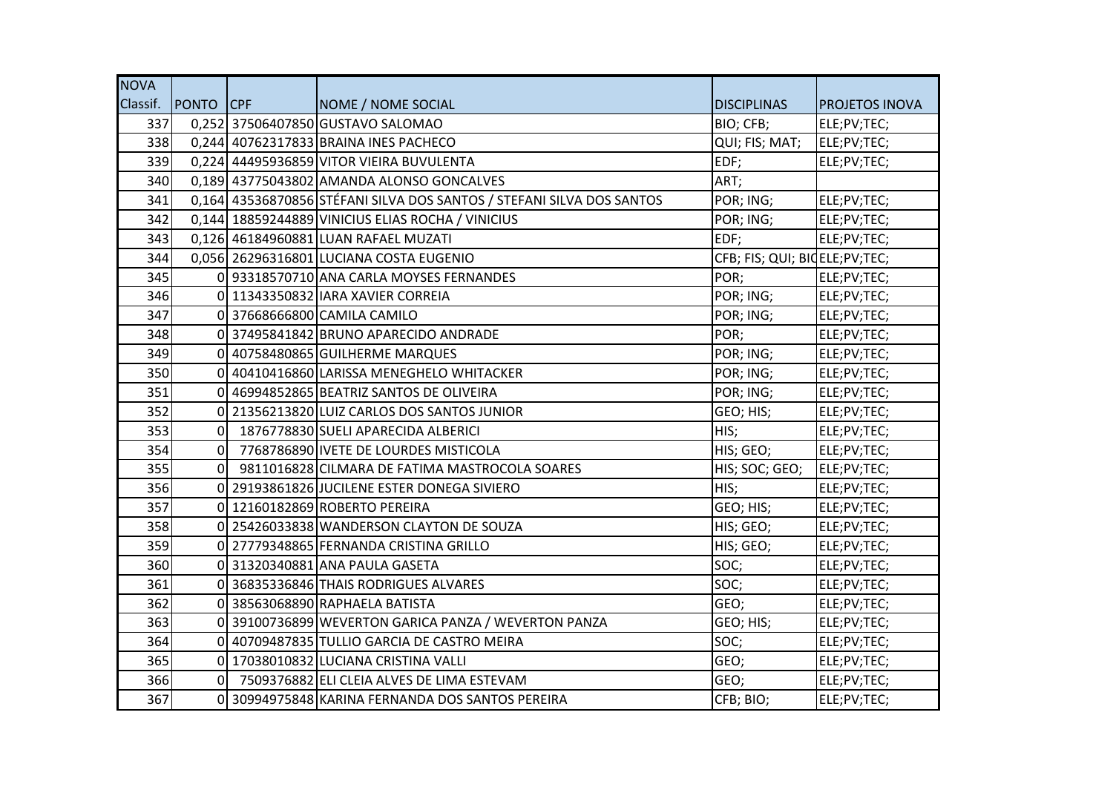| <b>NOVA</b> |                    |                                                                       |                                 |                       |
|-------------|--------------------|-----------------------------------------------------------------------|---------------------------------|-----------------------|
|             | Classif. PONTO CPF | NOME / NOME SOCIAL                                                    | <b>DISCIPLINAS</b>              | <b>PROJETOS INOVA</b> |
| 337         |                    | 0,252 37506407850 GUSTAVO SALOMAO                                     | BIO; CFB;                       | ELE;PV;TEC;           |
| 338         |                    | 0,244 40762317833 BRAINA INES PACHECO                                 | QUI; FIS; MAT;                  | ELE;PV;TEC;           |
| 339         |                    | 0,224 44495936859 VITOR VIEIRA BUVULENTA                              | EDF;                            | ELE;PV;TEC;           |
| 340         |                    | 0,189 43775043802 AMANDA ALONSO GONCALVES                             | ART;                            |                       |
| 341         |                    | 0,164 43536870856 STÉFANI SILVA DOS SANTOS / STEFANI SILVA DOS SANTOS | POR; ING;                       | ELE;PV;TEC;           |
| 342         |                    | 0,144 18859244889 VINICIUS ELIAS ROCHA / VINICIUS                     | POR; ING;                       | ELE;PV;TEC;           |
| 343         |                    | 0,126 46184960881 LUAN RAFAEL MUZATI                                  | EDF;                            | ELE;PV;TEC;           |
| 344         |                    | 0,056 26296316801 LUCIANA COSTA EUGENIO                               | CFB; FIS; QUI; BIOELE; PV; TEC; |                       |
| 345         |                    | 0 93318570710 ANA CARLA MOYSES FERNANDES                              | POR;                            | ELE;PV;TEC;           |
| 346         |                    | 0 11343350832 IARA XAVIER CORREIA                                     | POR; ING;                       | ELE;PV;TEC;           |
| 347         |                    | 0 37668666800 CAMILA CAMILO                                           | POR; ING;                       | ELE;PV;TEC;           |
| 348         |                    | 0 37495841842 BRUNO APARECIDO ANDRADE                                 | POR;                            | ELE;PV;TEC;           |
| 349         |                    | 0 40758480865 GUILHERME MARQUES                                       | POR; ING;                       | ELE;PV;TEC;           |
| 350         |                    | 0 40410416860 LARISSA MENEGHELO WHITACKER                             | POR; ING;                       | ELE;PV;TEC;           |
| 351         |                    | 0 46994852865 BEATRIZ SANTOS DE OLIVEIRA                              | POR; ING;                       | ELE;PV;TEC;           |
| 352         |                    | 0 21356213820 LUIZ CARLOS DOS SANTOS JUNIOR                           | GEO; HIS;                       | ELE;PV;TEC;           |
| 353         | $\Omega$           | 1876778830 SUELI APARECIDA ALBERICI                                   | HIS;                            | ELE;PV;TEC;           |
| 354         | 0                  | 7768786890 IVETE DE LOURDES MISTICOLA                                 | HIS; GEO;                       | ELE;PV;TEC;           |
| 355         |                    | 0 9811016828 CILMARA DE FATIMA MASTROCOLA SOARES                      | HIS; SOC; GEO;                  | ELE;PV;TEC;           |
| 356         |                    | 0 29193861826 JUCILENE ESTER DONEGA SIVIERO                           | HIS;                            | ELE;PV;TEC;           |
| 357         |                    | 0 12160182869 ROBERTO PEREIRA                                         | GEO; HIS;                       | ELE;PV;TEC;           |
| 358         |                    | 0 25426033838 WANDERSON CLAYTON DE SOUZA                              | HIS; GEO;                       | ELE;PV;TEC;           |
| 359         |                    | 0 27779348865 FERNANDA CRISTINA GRILLO                                | HIS; GEO;                       | ELE;PV;TEC;           |
| 360         |                    | 0 31320340881 ANA PAULA GASETA                                        | SOC;                            | ELE;PV;TEC;           |
| 361         |                    | 0 36835336846 THAIS RODRIGUES ALVARES                                 | SOC;                            | ELE;PV;TEC;           |
| 362         |                    | 0 38563068890 RAPHAELA BATISTA                                        | GEO;                            | ELE;PV;TEC;           |
| 363         |                    | 0 39100736899 WEVERTON GARICA PANZA / WEVERTON PANZA                  | GEO; HIS;                       | ELE;PV;TEC;           |
| 364         |                    | 0 40709487835 TULLIO GARCIA DE CASTRO MEIRA                           | SOC;                            | ELE;PV;TEC;           |
| 365         |                    | 0 17038010832 LUCIANA CRISTINA VALLI                                  | GEO;                            | ELE;PV;TEC;           |
| 366         |                    | 0 7509376882 ELI CLEIA ALVES DE LIMA ESTEVAM                          | GEO;                            | ELE;PV;TEC;           |
| 367         |                    | 0 30994975848 KARINA FERNANDA DOS SANTOS PEREIRA                      | CFB; BIO;                       | ELE;PV;TEC;           |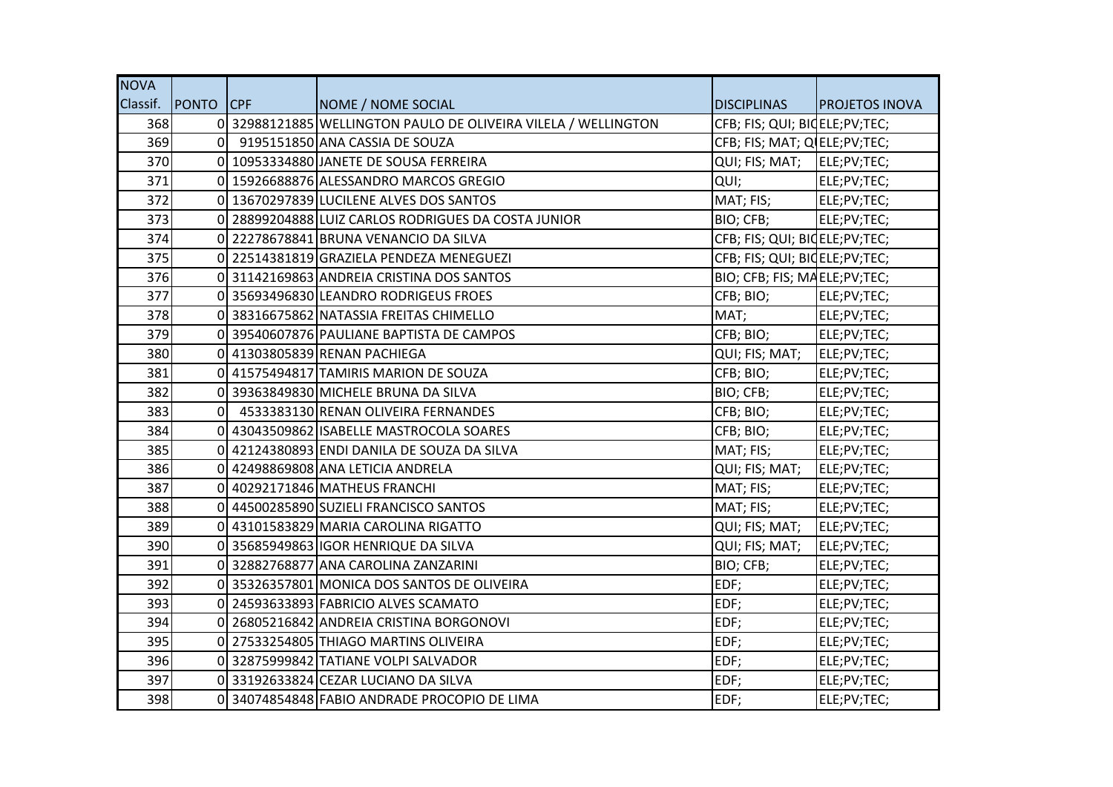| <b>NOVA</b> |                  |                                                                |                                 |                       |
|-------------|------------------|----------------------------------------------------------------|---------------------------------|-----------------------|
| Classif.    | <b>PONTO</b> CPF | NOME / NOME SOCIAL                                             | <b>DISCIPLINAS</b>              | <b>PROJETOS INOVA</b> |
| 368         |                  | 0 32988121885 WELLINGTON PAULO DE OLIVEIRA VILELA / WELLINGTON | CFB; FIS; QUI; BIOELE; PV; TEC; |                       |
| 369         | $\Omega$         | 9195151850 ANA CASSIA DE SOUZA                                 | CFB; FIS; MAT; Q ELE; PV; TEC;  |                       |
| 370         |                  | 0 10953334880 JANETE DE SOUSA FERREIRA                         | QUI; FIS; MAT;                  | ELE;PV;TEC;           |
| 371         |                  | 0 15926688876 ALESSANDRO MARCOS GREGIO                         | QUI;                            | ELE;PV;TEC;           |
| 372         |                  | 0 13670297839 LUCILENE ALVES DOS SANTOS                        | MAT; FIS;                       | ELE;PV;TEC;           |
| 373         |                  | 0 28899204888 LUIZ CARLOS RODRIGUES DA COSTA JUNIOR            | BIO; CFB;                       | ELE;PV;TEC;           |
| 374         |                  | 0 22278678841 BRUNA VENANCIO DA SILVA                          | CFB; FIS; QUI; BIQELE; PV; TEC; |                       |
| 375         |                  | 0 22514381819 GRAZIELA PENDEZA MENEGUEZI                       | CFB; FIS; QUI; BIOELE; PV; TEC; |                       |
| 376         |                  | 0 31142169863 ANDREIA CRISTINA DOS SANTOS                      | BIO; CFB; FIS; MAELE;PV;TEC;    |                       |
| 377         |                  | 0 35693496830 LEANDRO RODRIGEUS FROES                          | CFB; BIO;                       | ELE;PV;TEC;           |
| 378         |                  | 0 38316675862 NATASSIA FREITAS CHIMELLO                        | MAT;                            | ELE;PV;TEC;           |
| 379         |                  | 0 39540607876 PAULIANE BAPTISTA DE CAMPOS                      | CFB; BIO;                       | ELE;PV;TEC;           |
| 380         |                  | 0 41303805839 RENAN PACHIEGA                                   | QUI; FIS; MAT;                  | ELE;PV;TEC;           |
| 381         |                  | 0 41575494817 TAMIRIS MARION DE SOUZA                          | CFB; BIO;                       | ELE;PV;TEC;           |
| 382         |                  | 0 39363849830 MICHELE BRUNA DA SILVA                           | BIO; CFB;                       | ELE;PV;TEC;           |
| 383         | $\overline{0}$   | 4533383130 RENAN OLIVEIRA FERNANDES                            | CFB; BIO;                       | ELE;PV;TEC;           |
| 384         |                  | 0 43043509862 ISABELLE MASTROCOLA SOARES                       | CFB; BIO;                       | ELE;PV;TEC;           |
| 385         | ΩI               | 42124380893 ENDI DANILA DE SOUZA DA SILVA                      | MAT; FIS;                       | ELE;PV;TEC;           |
| 386         |                  | 0 42498869808 ANA LETICIA ANDRELA                              | QUI; FIS; MAT;                  | ELE;PV;TEC;           |
| 387         |                  | 0 40292171846 MATHEUS FRANCHI                                  | MAT; FIS;                       | ELE;PV;TEC;           |
| 388         |                  | 0 44500285890 SUZIELI FRANCISCO SANTOS                         | MAT; FIS;                       | ELE;PV;TEC;           |
| 389         |                  | 0 43101583829 MARIA CAROLINA RIGATTO                           | QUI; FIS; MAT;                  | ELE;PV;TEC;           |
| 390         |                  | 0 35685949863 IGOR HENRIQUE DA SILVA                           | QUI; FIS; MAT;                  | ELE;PV;TEC;           |
| 391         |                  | 0 32882768877 ANA CAROLINA ZANZARINI                           | BIO; CFB;                       | ELE;PV;TEC;           |
| 392         |                  | 35326357801 MONICA DOS SANTOS DE OLIVEIRA                      | EDF;                            | ELE;PV;TEC;           |
| 393         |                  | 0 24593633893 FABRICIO ALVES SCAMATO                           | EDF;                            | ELE;PV;TEC;           |
| 394         |                  | 0 26805216842 ANDREIA CRISTINA BORGONOVI                       | EDF;                            | ELE;PV;TEC;           |
| 395         |                  | 0 27533254805 THIAGO MARTINS OLIVEIRA                          | EDF;                            | ELE;PV;TEC;           |
| 396         |                  | 0 32875999842 TATIANE VOLPI SALVADOR                           | EDF;                            | ELE;PV;TEC;           |
| 397         |                  | 0 33192633824 CEZAR LUCIANO DA SILVA                           | EDF;                            | ELE;PV;TEC;           |
| 398         | $\overline{0}$   | 34074854848 FABIO ANDRADE PROCOPIO DE LIMA                     | EDF;                            | ELE;PV;TEC;           |